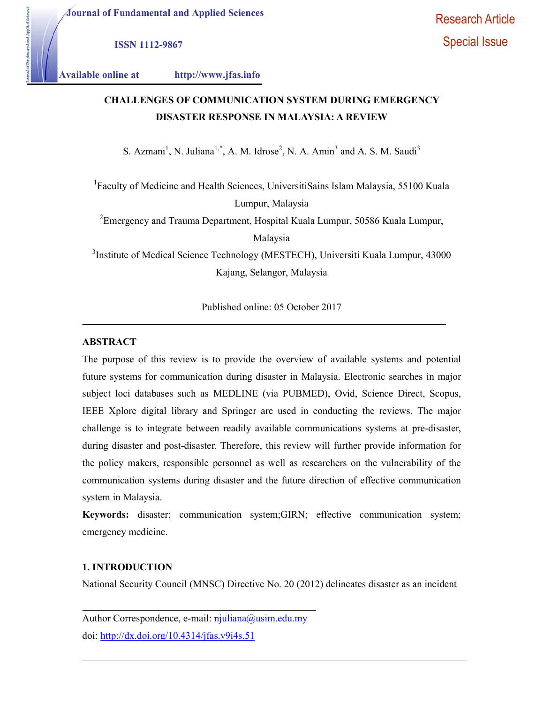Journal of Fundamental and Applied Sciences

ISSN 1112-9867

ntal and Applied Science

Available online at http://www.jfas.info

# CHALLENGES OF COMMUNICATION SYSTEM DURING EMERGENCY DISASTER RESPONSE IN MALAYSIA: A REVIEW

S. Azmani<sup>1</sup>, N. Juliana<sup>1,\*</sup>, A. M. Idrose<sup>2</sup>, N. A. Amin<sup>3</sup> and A. S. M. Saudi<sup>3</sup>

<sup>1</sup>Faculty of Medicine and Health Sciences, UniversitiSains Islam Malaysia, 55100 Kuala Lumpur, Malaysia

<sup>2</sup>Emergency and Trauma Department, Hospital Kuala Lumpur, 50586 Kuala Lumpur,

Malaysia

<sup>3</sup>Institute of Medical Science Technology (MESTECH), Universiti Kuala Lumpur, 43000 Kajang, Selangor, Malaysia

Published online: 05 October 2017

## ABSTRACT

The purpose of this review is to provide the overview of available systems and potential future systems for communication during disaster in Malaysia. Electronic searches in major subject loci databases such as MEDLINE (via PUBMED), Ovid, Science Direct, Scopus, IEEE Xplore digital library and Springer are used in conducting the reviews. The major challenge is to integrate between readily available communications systems at pre-disaster, during disaster and post-disaster. Therefore, this review will further provide information for the policy makers, responsible personnel as well as researchers on the vulnerability of the communication systems during disaster and the future direction of effective communication system in Malaysia.

Keywords: disaster; communication system;GIRN; effective communication system; emergency medicine.

## 1. INTRODUCTION

National Security Council (MNSC) Directive No. 20 (2012) delineates disaster as an incident

Author Correspondence, e-mail:  $njuliana@usim.edumy$ doi: http://dx.doi.org/10.4314/jfas.v9i4s.51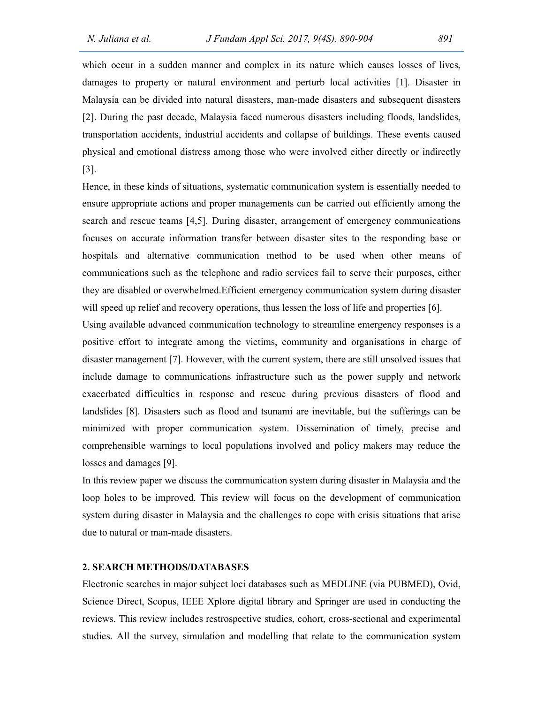which occur in a sudden manner and complex in its nature which causes losses of lives, damages to property or natural environment and perturb local activities [1]. Disaster in Malaysia can be divided into natural disasters, man-made disasters and subsequent disasters [2]. During the past decade, Malaysia faced numerous disasters including floods, landslides, transportation accidents, industrial accidents and collapse of buildings. These events caused physical and emotional distress among those who were involved either directly or indirectly [3].

Hence, in these kinds of situations, systematic communication system is essentially needed to ensure appropriate actions and proper managements can be carried out efficiently among the search and rescue teams [4,5]. During disaster, arrangement of emergency communications focuses on accurate information transfer between disaster sites to the responding base or hospitals and alternative communication method to be used when other means of communications such as the telephone and radio services fail to serve their purposes, either they are disabled or overwhelmed.Efficient emergency communication system during disaster will speed up relief and recovery operations, thus lessen the loss of life and properties [6].

Using available advanced communication technology to streamline emergency responses is a positive effort to integrate among the victims, community and organisations in charge of disaster management [7]. However, with the current system, there are still unsolved issues that include damage to communications infrastructure such as the power supply and network exacerbated difficulties in response and rescue during previous disasters of flood and landslides [8]. Disasters such as flood and tsunami are inevitable, but the sufferings can be minimized with proper communication system. Dissemination of timely, precise and comprehensible warnings to local populations involved and policy makers may reduce the losses and damages [9].

In this review paper we discuss the communication system during disaster in Malaysia and the loop holes to be improved. This review will focus on the development of communication system during disaster in Malaysia and the challenges to cope with crisis situations that arise due to natural or man-made disasters.

## 2. SEARCH METHODS/DATABASES

Electronic searches in major subject loci databases such as MEDLINE (via PUBMED), Ovid, Science Direct, Scopus, IEEE Xplore digital library and Springer are used in conducting the reviews. This review includes restrospective studies, cohort, cross-sectional and experimental studies. All the survey, simulation and modelling that relate to the communication system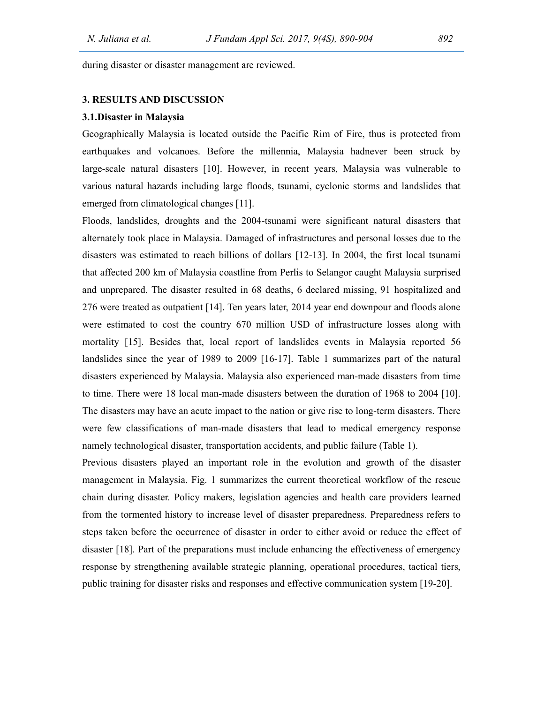during disaster or disaster management are reviewed.

### 3. RESULTS AND DISCUSSION

#### 3.1.Disaster in Malaysia

Geographically Malaysia is located outside the Pacific Rim of Fire, thus is protected from earthquakes and volcanoes. Before the millennia, Malaysia hadnever been struck by large-scale natural disasters [10]. However, in recent years, Malaysia was vulnerable to various natural hazards including large floods, tsunami, cyclonic storms and landslides that emerged from climatological changes [11].

Floods, landslides, droughts and the 2004-tsunami were significant natural disasters that alternately took place in Malaysia. Damaged of infrastructures and personal losses due to the disasters was estimated to reach billions of dollars [12-13]. In 2004, the first local tsunami that affected 200 km of Malaysia coastline from Perlis to Selangor caught Malaysia surprised and unprepared. The disaster resulted in 68 deaths, 6 declared missing, 91 hospitalized and 276 were treated as outpatient [14]. Ten years later, 2014 year end downpour and floods alone were estimated to cost the country 670 million USD of infrastructure losses along with mortality [15]. Besides that, local report of landslides events in Malaysia reported 56 landslides since the year of 1989 to 2009 [16-17]. Table 1 summarizes part of the natural disasters experienced by Malaysia. Malaysia also experienced man-made disasters from time to time. There were 18 local man-made disasters between the duration of 1968 to 2004 [10]. The disasters may have an acute impact to the nation or give rise to long-term disasters. There were few classifications of man-made disasters that lead to medical emergency response namely technological disaster, transportation accidents, and public failure (Table 1).

Previous disasters played an important role in the evolution and growth of the disaster management in Malaysia. Fig. 1 summarizes the current theoretical workflow of the rescue chain during disaster. Policy makers, legislation agencies and health care providers learned from the tormented history to increase level of disaster preparedness. Preparedness refers to steps taken before the occurrence of disaster in order to either avoid or reduce the effect of disaster [18]. Part of the preparations must include enhancing the effectiveness of emergency response by strengthening available strategic planning, operational procedures, tactical tiers, public training for disaster risks and responses and effective communication system [19-20].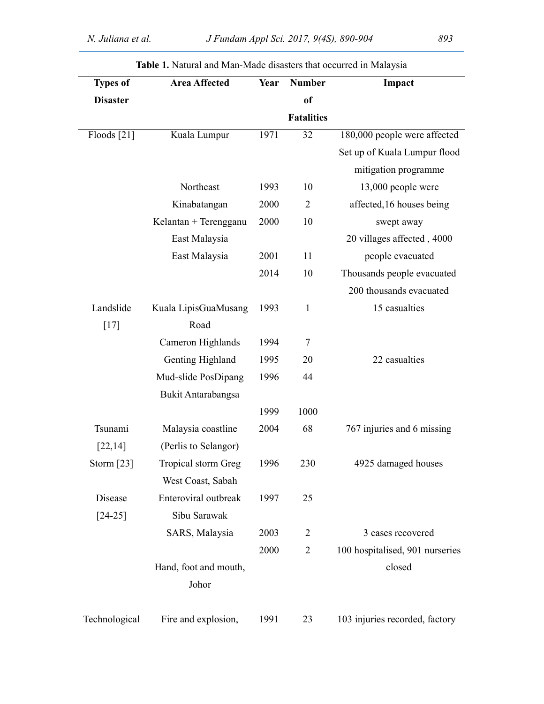| <b>Types of</b> | <b>Area Affected</b>  | Year | <b>Number</b>     | Impact                          |  |
|-----------------|-----------------------|------|-------------------|---------------------------------|--|
| <b>Disaster</b> |                       |      | <sub>of</sub>     |                                 |  |
|                 |                       |      | <b>Fatalities</b> |                                 |  |
| Floods $[21]$   | Kuala Lumpur          | 1971 | 32                | 180,000 people were affected    |  |
|                 |                       |      |                   | Set up of Kuala Lumpur flood    |  |
|                 |                       |      |                   | mitigation programme            |  |
|                 | Northeast             | 1993 | 10                | 13,000 people were              |  |
|                 | Kinabatangan          | 2000 | $\overline{2}$    | affected, 16 houses being       |  |
|                 | Kelantan + Terengganu | 2000 | 10                | swept away                      |  |
|                 | East Malaysia         |      |                   | 20 villages affected, 4000      |  |
|                 | East Malaysia         | 2001 | 11                | people evacuated                |  |
|                 |                       | 2014 | 10                | Thousands people evacuated      |  |
|                 |                       |      |                   | 200 thousands evacuated         |  |
| Landslide       | Kuala LipisGuaMusang  | 1993 | $\mathbf{1}$      | 15 casualties                   |  |
| $[17]$          | Road                  |      |                   |                                 |  |
|                 | Cameron Highlands     | 1994 | $\tau$            |                                 |  |
|                 | Genting Highland      | 1995 | 20                | 22 casualties                   |  |
|                 | Mud-slide PosDipang   | 1996 | 44                |                                 |  |
|                 | Bukit Antarabangsa    |      |                   |                                 |  |
|                 |                       | 1999 | 1000              |                                 |  |
| Tsunami         | Malaysia coastline    | 2004 | 68                | 767 injuries and 6 missing      |  |
| [22, 14]        | (Perlis to Selangor)  |      |                   |                                 |  |
| Storm $[23]$    | Tropical storm Greg   | 1996 | 230               | 4925 damaged houses             |  |
|                 | West Coast, Sabah     |      |                   |                                 |  |
| Disease         | Enteroviral outbreak  | 1997 | 25                |                                 |  |
| $[24-25]$       | Sibu Sarawak          |      |                   |                                 |  |
|                 | SARS, Malaysia        | 2003 | 2                 | 3 cases recovered               |  |
|                 |                       | 2000 | $\overline{2}$    | 100 hospitalised, 901 nurseries |  |
|                 | Hand, foot and mouth, |      |                   | closed                          |  |
|                 | Johor                 |      |                   |                                 |  |
|                 |                       |      |                   |                                 |  |
| Technological   | Fire and explosion,   | 1991 | 23                | 103 injuries recorded, factory  |  |

|  |  |  | <b>Table 1.</b> Natural and Man-Made disasters that occurred in Malaysia |  |  |
|--|--|--|--------------------------------------------------------------------------|--|--|
|--|--|--|--------------------------------------------------------------------------|--|--|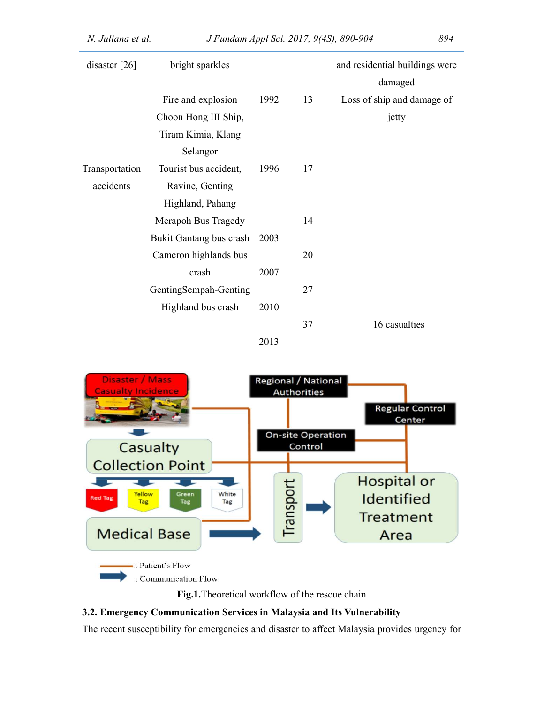| disaster $[26]$ | bright sparkles         | and residential buildings were |    |                            |  |
|-----------------|-------------------------|--------------------------------|----|----------------------------|--|
|                 |                         |                                |    | damaged                    |  |
|                 | Fire and explosion      | 1992                           | 13 | Loss of ship and damage of |  |
|                 | Choon Hong III Ship,    |                                |    | jetty                      |  |
|                 | Tiram Kimia, Klang      |                                |    |                            |  |
|                 | Selangor                |                                |    |                            |  |
| Transportation  | Tourist bus accident,   | 1996                           | 17 |                            |  |
| accidents       | Ravine, Genting         |                                |    |                            |  |
|                 | Highland, Pahang        |                                |    |                            |  |
|                 | Merapoh Bus Tragedy     |                                | 14 |                            |  |
|                 | Bukit Gantang bus crash | 2003                           |    |                            |  |
|                 | Cameron highlands bus   |                                | 20 |                            |  |
|                 | crash                   | 2007                           |    |                            |  |
|                 | GentingSempah-Genting   |                                | 27 |                            |  |
|                 | Highland bus crash      | 2010                           |    |                            |  |
|                 |                         |                                | 37 | 16 casualties              |  |
|                 |                         | 2013                           |    |                            |  |



Fig.1.Theoretical workflow of the rescue chain

# 3.2. Emergency Communication Services in Malaysia and Its Vulnerability

The recent susceptibility for emergencies and disaster to affect Malaysia provides urgency for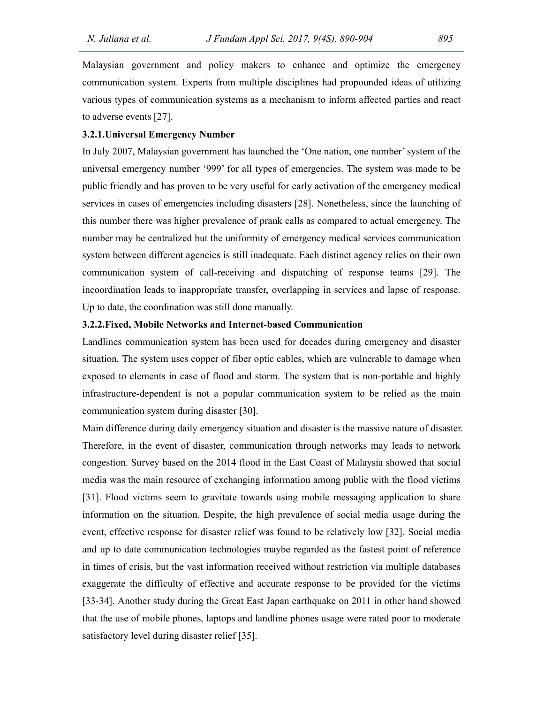Malaysian government and policy makers to enhance and optimize the emergency communication system. Experts from multiple disciplines had propounded ideas of utilizing various types of communication systems as a mechanism to inform affected parties and react to adverse events [27].

#### 3.2.1.Universal Emergency Number

In July 2007, Malaysian government has launched the 'One nation, one number' system of the universal emergency number '999' for all types of emergencies. The system was made to be public friendly and has proven to be very useful for early activation of the emergency medical services in cases of emergencies including disasters [28]. Nonetheless, since the launching of this number there was higher prevalence of prank calls as compared to actual emergency. The number may be centralized but the uniformity of emergency medical services communication system between different agencies is still inadequate. Each distinct agency relies on their own communication system of call-receiving and dispatching of response teams [29]. The incoordination leads to inappropriate transfer, overlapping in services and lapse of response. Up to date, the coordination was still done manually.

## 3.2.2.Fixed, Mobile Networks and Internet-based Communication

Landlines communication system has been used for decades during emergency and disaster situation. The system uses copper of fiber optic cables, which are vulnerable to damage when exposed to elements in case of flood and storm. The system that is non-portable and highly infrastructure-dependent is not a popular communication system to be relied as the main communication system during disaster [30].

Main difference during daily emergency situation and disaster is the massive nature of disaster. Therefore, in the event of disaster, communication through networks may leads to network congestion. Survey based on the 2014 flood in the East Coast of Malaysia showed that social media was the main resource of exchanging information among public with the flood victims [31]. Flood victims seem to gravitate towards using mobile messaging application to share information on the situation. Despite, the high prevalence of social media usage during the event, effective response for disaster relief was found to be relatively low [32]. Social media and up to date communication technologies maybe regarded as the fastest point of reference in times of crisis, but the vast information received without restriction via multiple databases exaggerate the difficulty of effective and accurate response to be provided for the victims [33-34]. Another study during the Great East Japan earthquake on 2011 in other hand showed that the use of mobile phones, laptops and landline phones usage were rated poor to moderate satisfactory level during disaster relief [35].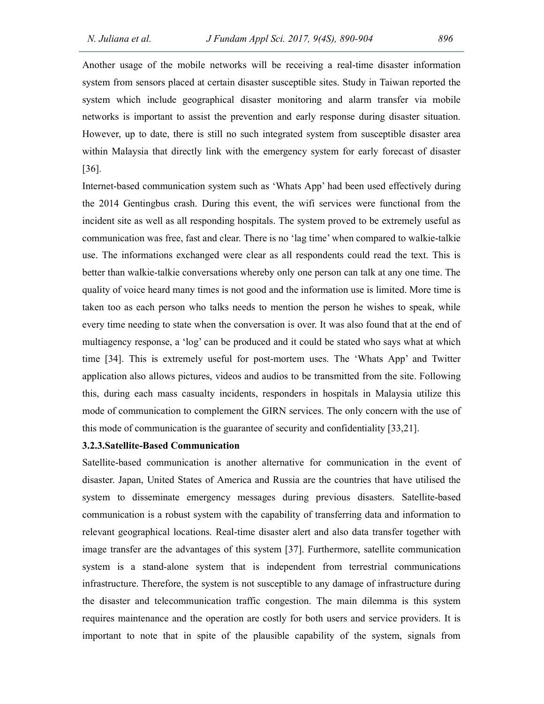Another usage of the mobile networks will be receiving a real-time disaster information system from sensors placed at certain disaster susceptible sites. Study in Taiwan reported the system which include geographical disaster monitoring and alarm transfer via mobile networks is important to assist the prevention and early response during disaster situation.

However, up to date, there is still no such integrated system from susceptible disaster area within Malaysia that directly link with the emergency system for early forecast of disaster [36].

Internet-based communication system such as 'Whats App' had been used effectively during the 2014 Gentingbus crash. During this event, the wifi services were functional from the incident site as well as all responding hospitals. The system proved to be extremely useful as communication was free, fast and clear. There is no 'lag time' when compared to walkie-talkie use. The informations exchanged were clear as all respondents could read the text. This is better than walkie-talkie conversations whereby only one person can talk at any one time. The quality of voice heard many times is not good and the information use is limited. More time is taken too as each person who talks needs to mention the person he wishes to speak, while every time needing to state when the conversation is over. It was also found that at the end of multiagency response, a 'log' can be produced and it could be stated who says what at which time [34]. This is extremely useful for post-mortem uses. The 'Whats App' and Twitter application also allows pictures, videos and audios to be transmitted from the site. Following this, during each mass casualty incidents, responders in hospitals in Malaysia utilize this mode of communication to complement the GIRN services. The only concern with the use of this mode of communication is the guarantee of security and confidentiality [33,21].

## 3.2.3.Satellite-Based Communication

Satellite-based communication is another alternative for communication in the event of disaster. Japan, United States of America and Russia are the countries that have utilised the system to disseminate emergency messages during previous disasters. Satellite-based communication is a robust system with the capability of transferring data and information to relevant geographical locations. Real-time disaster alert and also data transfer together with image transfer are the advantages of this system [37]. Furthermore, satellite communication system is a stand-alone system that is independent from terrestrial communications infrastructure. Therefore, the system is not susceptible to any damage of infrastructure during the disaster and telecommunication traffic congestion. The main dilemma is this system requires maintenance and the operation are costly for both users and service providers. It is important to note that in spite of the plausible capability of the system, signals from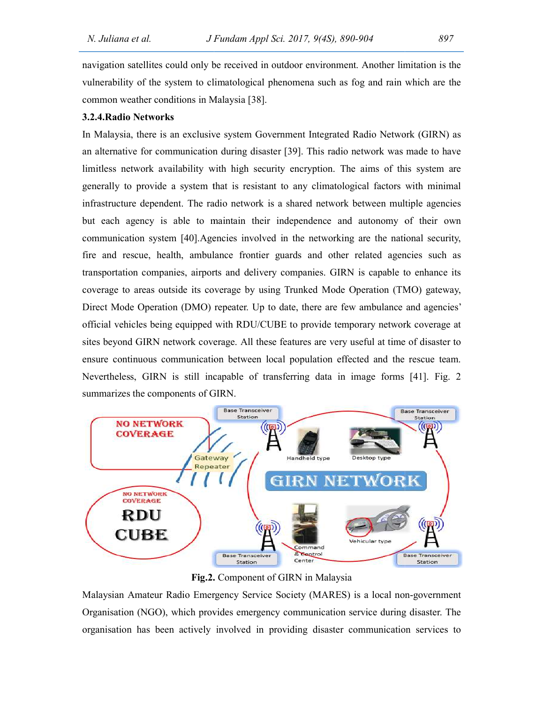navigation satellites could only be received in outdoor environment. Another limitation is the navigation satellites could only be received in outdoor environment. Another limitation is the<br>vulnerability of the system to climatological phenomena such as fog and rain which are the common weather conditions in Malaysia [38].

## 3.2.4.Radio Networks

In Malaysia, there is an exclusive system Government Integrated Radio Network (GIRN) as an alternative for communication during disaster [ [39]. This radio network was made to have limitless network availability with high security encryption. The aims of this system are generally to provide a system that is resistant to any climatological factors with minimal infrastructure dependent. The radio network is a shared network between multiple agencies but each agency is able to maintain their independence and autonomy of their own communication system [40].Agencies involved in the networking are the national security, fire and rescue, health, ambulance frontier guards and other related agencies such as transportation companies, airports and delivery companies. GIRN is capable to enhance its coverage to areas outside its coverage by using Trunked Mode Operation (TMO) gateway, Direct Mode Operation (DMO) repeater. Up to date, there are few ambulance and agencies' official vehicles being equipped with RDU/CUBE to provide temporary network coverage at sites beyond GIRN network coverage. All these features are very useful at time of disaster to ensure continuous communication between local population effected and the rescue team. Nevertheless, GIRN is still incapable of transferring data in image forms [41]. Fig. 2 summarizes the components of GIRN. limitless network availability with high security encryption. The aims of this system are generally to provide a system that is resistant to any climatological factors with minimal infrastructure dependent. The radio netwo Indicate et al. I Fronkon Appl. Set. 2017, 9(45), 309-004<br>
Seguito scalibles could only be concived in outbox crisingency convention. Another limitation is the<br>
membergency society of the space of a formula-given phenomen navigation satellites could only be received in outdoor environment. Another limitation is the vulnerability of the system to climatological phenomena such as fog and rain which are the common weather conditions in Malaysi



Fig.2. 2. Component of GIRN in Malaysia

Malaysian Amateur Radio Emergency Service Society (MARES) is a local non-government Organisation (NGO), which provides emergency communication service during disaster. The Organisation (NGO), which provides emergency communication service during disaster. The<br>organisation has been actively involved in providing disaster communication services to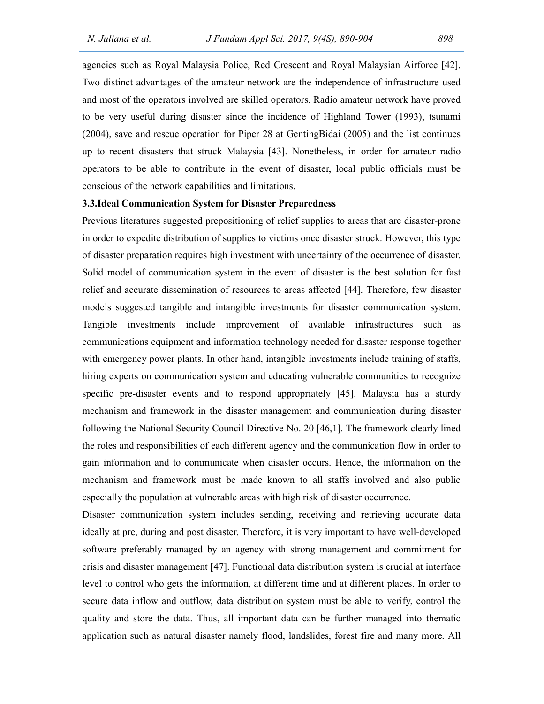agencies such as Royal Malaysia Police, Red Crescent and Royal Malaysian Airforce [42]. Two distinct advantages of the amateur network are the independence of infrastructure used and most of the operators involved are skilled operators. Radio amateur network have proved to be very useful during disaster since the incidence of Highland Tower (1993), tsunami (2004), save and rescue operation for Piper 28 at GentingBidai (2005) and the list continues up to recent disasters that struck Malaysia [43]. Nonetheless, in order for amateur radio operators to be able to contribute in the event of disaster, local public officials must be conscious of the network capabilities and limitations.

#### 3.3.Ideal Communication System for Disaster Preparedness

Previous literatures suggested prepositioning of relief supplies to areas that are disaster-prone in order to expedite distribution of supplies to victims once disaster struck. However, this type of disaster preparation requires high investment with uncertainty of the occurrence of disaster. Solid model of communication system in the event of disaster is the best solution for fast relief and accurate dissemination of resources to areas affected [44]. Therefore, few disaster models suggested tangible and intangible investments for disaster communication system. Tangible investments include improvement of available infrastructures such as communications equipment and information technology needed for disaster response together with emergency power plants. In other hand, intangible investments include training of staffs, hiring experts on communication system and educating vulnerable communities to recognize specific pre-disaster events and to respond appropriately [45]. Malaysia has a sturdy mechanism and framework in the disaster management and communication during disaster following the National Security Council Directive No. 20 [46,1]. The framework clearly lined the roles and responsibilities of each different agency and the communication flow in order to gain information and to communicate when disaster occurs. Hence, the information on the mechanism and framework must be made known to all staffs involved and also public especially the population at vulnerable areas with high risk of disaster occurrence.

Disaster communication system includes sending, receiving and retrieving accurate data ideally at pre, during and post disaster. Therefore, it is very important to have well-developed software preferably managed by an agency with strong management and commitment for crisis and disaster management [47]. Functional data distribution system is crucial at interface level to control who gets the information, at different time and at different places. In order to secure data inflow and outflow, data distribution system must be able to verify, control the quality and store the data. Thus, all important data can be further managed into thematic application such as natural disaster namely flood, landslides, forest fire and many more. All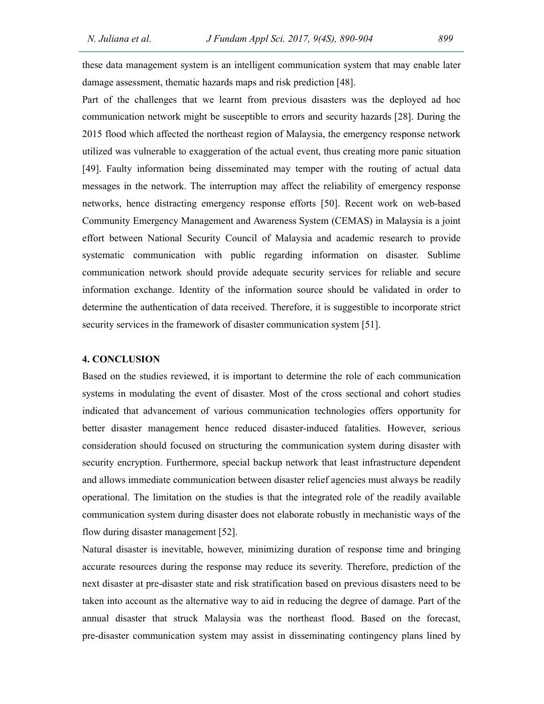these data management system is an intelligent communication system that may enable later damage assessment, thematic hazards maps and risk prediction [48].

Part of the challenges that we learnt from previous disasters was the deployed ad hoc communication network might be susceptible to errors and security hazards [28]. During the 2015 flood which affected the northeast region of Malaysia, the emergency response network utilized was vulnerable to exaggeration of the actual event, thus creating more panic situation [49]. Faulty information being disseminated may temper with the routing of actual data messages in the network. The interruption may affect the reliability of emergency response networks, hence distracting emergency response efforts [50]. Recent work on web-based Community Emergency Management and Awareness System (CEMAS) in Malaysia is a joint effort between National Security Council of Malaysia and academic research to provide systematic communication with public regarding information on disaster. Sublime communication network should provide adequate security services for reliable and secure information exchange. Identity of the information source should be validated in order to determine the authentication of data received. Therefore, it is suggestible to incorporate strict security services in the framework of disaster communication system [51].

#### 4. CONCLUSION

Based on the studies reviewed, it is important to determine the role of each communication systems in modulating the event of disaster. Most of the cross sectional and cohort studies indicated that advancement of various communication technologies offers opportunity for better disaster management hence reduced disaster-induced fatalities. However, serious consideration should focused on structuring the communication system during disaster with security encryption. Furthermore, special backup network that least infrastructure dependent and allows immediate communication between disaster relief agencies must always be readily operational. The limitation on the studies is that the integrated role of the readily available communication system during disaster does not elaborate robustly in mechanistic ways of the flow during disaster management [52].

Natural disaster is inevitable, however, minimizing duration of response time and bringing accurate resources during the response may reduce its severity. Therefore, prediction of the next disaster at pre-disaster state and risk stratification based on previous disasters need to be taken into account as the alternative way to aid in reducing the degree of damage. Part of the annual disaster that struck Malaysia was the northeast flood. Based on the forecast, pre-disaster communication system may assist in disseminating contingency plans lined by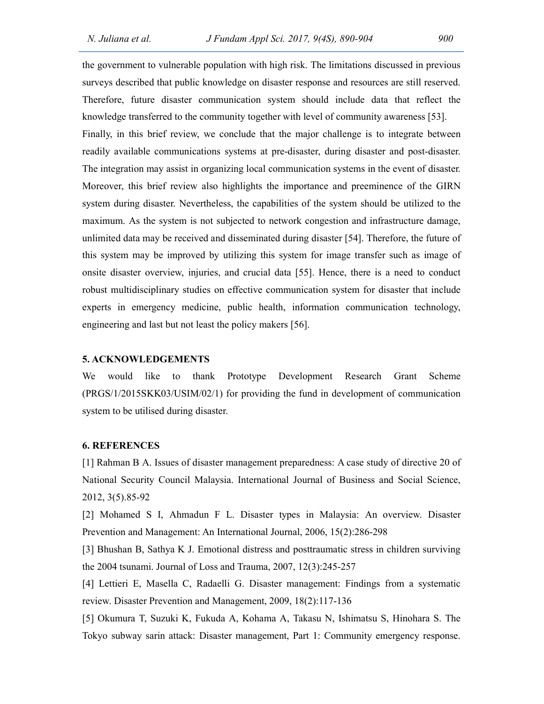the government to vulnerable population with high risk. The limitations discussed in previous surveys described that public knowledge on disaster response and resources are still reserved. Therefore, future disaster communication system should include data that reflect the knowledge transferred to the community together with level of community awareness [53]. Finally, in this brief review, we conclude that the major challenge is to integrate between readily available communications systems at pre-disaster, during disaster and post-disaster. The integration may assist in organizing local communication systems in the event of disaster. Moreover, this brief review also highlights the importance and preeminence of the GIRN system during disaster. Nevertheless, the capabilities of the system should be utilized to the maximum. As the system is not subjected to network congestion and infrastructure damage, unlimited data may be received and disseminated during disaster [54]. Therefore, the future of this system may be improved by utilizing this system for image transfer such as image of onsite disaster overview, injuries, and crucial data [55]. Hence, there is a need to conduct robust multidisciplinary studies on effective communication system for disaster that include experts in emergency medicine, public health, information communication technology, engineering and last but not least the policy makers [56].

#### 5. ACKNOWLEDGEMENTS

We would like to thank Prototype Development Research Grant Scheme (PRGS/1/2015SKK03/USIM/02/1) for providing the fund in development of communication system to be utilised during disaster.

## 6. REFERENCES

[1] Rahman B A. Issues of disaster management preparedness: A case study of directive 20 of National Security Council Malaysia. International Journal of Business and Social Science, 2012, 3(5).85-92

[2] Mohamed S I, Ahmadun F L. Disaster types in Malaysia: An overview. Disaster Prevention and Management: An International Journal, 2006, 15(2):286-298

[3] Bhushan B, Sathya K J. Emotional distress and posttraumatic stress in children surviving the 2004 tsunami. Journal of Loss and Trauma, 2007, 12(3):245-257

[4] Lettieri E, Masella C, Radaelli G. Disaster management: Findings from a systematic review. Disaster Prevention and Management, 2009, 18(2):117-136

[5] Okumura T, Suzuki K, Fukuda A, Kohama A, Takasu N, Ishimatsu S, Hinohara S. The Tokyo subway sarin attack: Disaster management, Part 1: Community emergency response.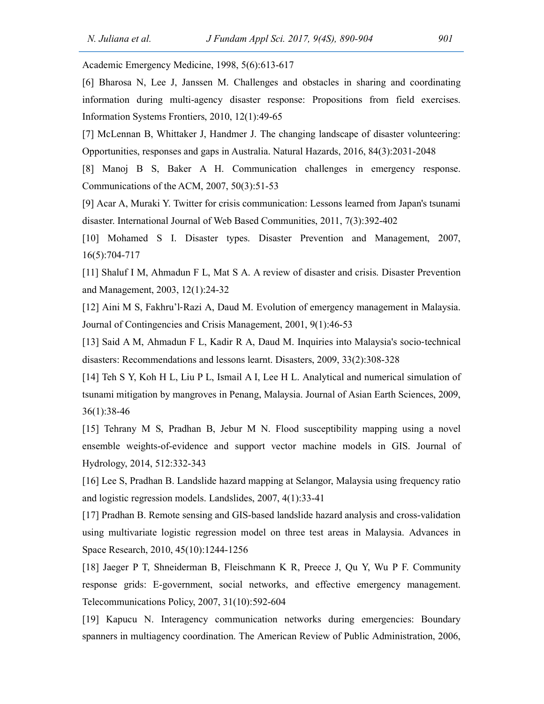Academic Emergency Medicine, 1998, 5(6):613-617

[6] Bharosa N, Lee J, Janssen M. Challenges and obstacles in sharing and coordinating information during multi-agency disaster response: Propositions from field exercises. Information Systems Frontiers, 2010, 12(1):49-65

[7] McLennan B, Whittaker J, Handmer J. The changing landscape of disaster volunteering: Opportunities, responses and gaps in Australia. Natural Hazards, 2016, 84(3):2031-2048

[8] Manoj B S, Baker A H. Communication challenges in emergency response. Communications of the ACM, 2007, 50(3):51-53

[9] Acar A, Muraki Y. Twitter for crisis communication: Lessons learned from Japan's tsunami disaster. International Journal of Web Based Communities, 2011, 7(3):392-402

[10] Mohamed S I. Disaster types. Disaster Prevention and Management, 2007, 16(5):704-717

[11] Shaluf I M, Ahmadun F L, Mat S A. A review of disaster and crisis. Disaster Prevention and Management, 2003, 12(1):24-32

[12] Aini M S, Fakhru'l-Razi A, Daud M. Evolution of emergency management in Malaysia. Journal of Contingencies and Crisis Management, 2001, 9(1):46-53

[13] Said A M, Ahmadun F L, Kadir R A, Daud M. Inquiries into Malaysia's socio‐technical disasters: Recommendations and lessons learnt. Disasters, 2009, 33(2):308-328

[14] Teh S Y, Koh H L, Liu P L, Ismail A I, Lee H L. Analytical and numerical simulation of tsunami mitigation by mangroves in Penang, Malaysia. Journal of Asian Earth Sciences, 2009, 36(1):38-46

[15] Tehrany M S, Pradhan B, Jebur M N. Flood susceptibility mapping using a novel ensemble weights-of-evidence and support vector machine models in GIS. Journal of Hydrology, 2014, 512:332-343

[16] Lee S, Pradhan B. Landslide hazard mapping at Selangor, Malaysia using frequency ratio and logistic regression models. Landslides, 2007, 4(1):33-41

[17] Pradhan B. Remote sensing and GIS-based landslide hazard analysis and cross-validation using multivariate logistic regression model on three test areas in Malaysia. Advances in Space Research, 2010, 45(10):1244-1256

[18] Jaeger P T, Shneiderman B, Fleischmann K R, Preece J, Qu Y, Wu P F. Community response grids: E-government, social networks, and effective emergency management. Telecommunications Policy, 2007, 31(10):592-604

[19] Kapucu N. Interagency communication networks during emergencies: Boundary spanners in multiagency coordination. The American Review of Public Administration, 2006,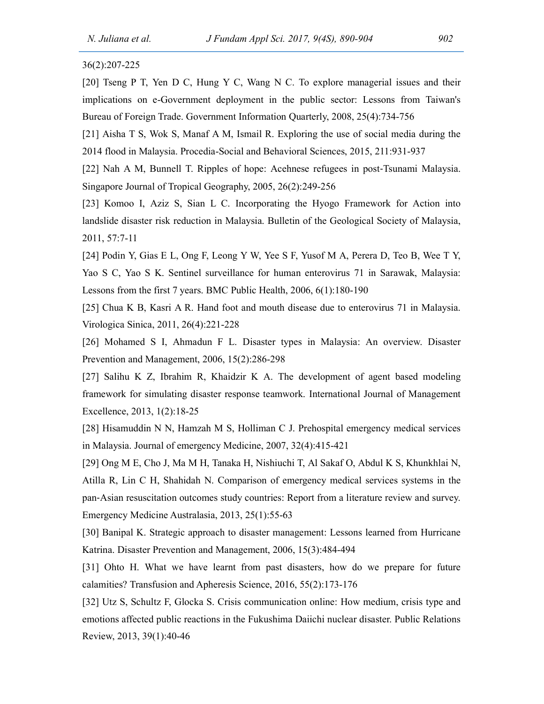#### 36(2):207-225

[20] Tseng P T, Yen D C, Hung Y C, Wang N C. To explore managerial issues and their implications on e-Government deployment in the public sector: Lessons from Taiwan's Bureau of Foreign Trade. Government Information Quarterly, 2008, 25(4):734-756

[21] Aisha T S, Wok S, Manaf A M, Ismail R. Exploring the use of social media during the 2014 flood in Malaysia. Procedia-Social and Behavioral Sciences, 2015, 211:931-937

[22] Nah A M, Bunnell T. Ripples of hope: Acehnese refugees in post-Tsunami Malaysia. Singapore Journal of Tropical Geography, 2005, 26(2):249-256

[23] Komoo I, Aziz S, Sian L C. Incorporating the Hyogo Framework for Action into landslide disaster risk reduction in Malaysia. Bulletin of the Geological Society of Malaysia, 2011, 57:7-11

[24] Podin Y, Gias E L, Ong F, Leong Y W, Yee S F, Yusof M A, Perera D, Teo B, Wee T Y, Yao S C, Yao S K. Sentinel surveillance for human enterovirus 71 in Sarawak, Malaysia: Lessons from the first 7 years. BMC Public Health, 2006, 6(1):180-190

[25] Chua K B, Kasri A R. Hand foot and mouth disease due to enterovirus 71 in Malaysia. Virologica Sinica, 2011, 26(4):221-228

[26] Mohamed S I, Ahmadun F L. Disaster types in Malaysia: An overview. Disaster Prevention and Management, 2006, 15(2):286-298

[27] Salihu K Z, Ibrahim R, Khaidzir K A. The development of agent based modeling framework for simulating disaster response teamwork. International Journal of Management Excellence, 2013, 1(2):18-25

[28] Hisamuddin N N, Hamzah M S, Holliman C J. Prehospital emergency medical services in Malaysia. Journal of emergency Medicine, 2007, 32(4):415-421

[29] Ong M E, Cho J, Ma M H, Tanaka H, Nishiuchi T, Al Sakaf O, Abdul K S, Khunkhlai N, Atilla R, Lin C H, Shahidah N. Comparison of emergency medical services systems in the pan‐Asian resuscitation outcomes study countries: Report from a literature review and survey. Emergency Medicine Australasia, 2013, 25(1):55-63

[30] Banipal K. Strategic approach to disaster management: Lessons learned from Hurricane Katrina. Disaster Prevention and Management, 2006, 15(3):484-494

[31] Ohto H. What we have learnt from past disasters, how do we prepare for future calamities? Transfusion and Apheresis Science, 2016, 55(2):173-176

[32] Utz S, Schultz F, Glocka S. Crisis communication online: How medium, crisis type and emotions affected public reactions in the Fukushima Daiichi nuclear disaster. Public Relations Review, 2013, 39(1):40-46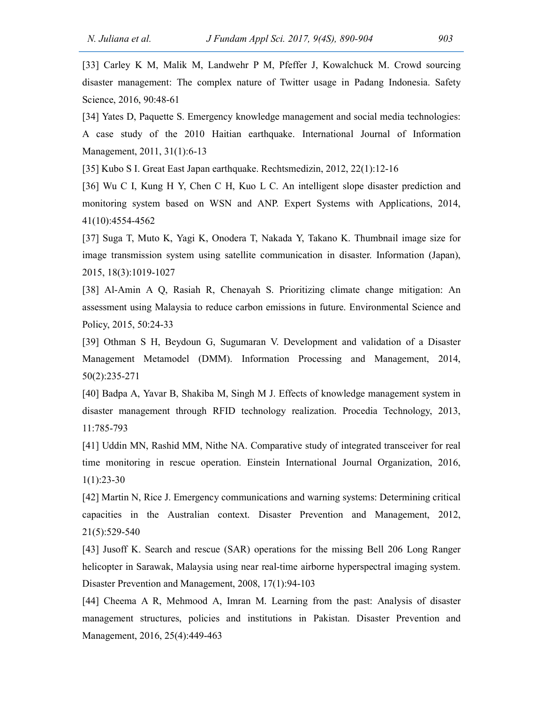[33] Carley K M, Malik M, Landwehr P M, Pfeffer J, Kowalchuck M. Crowd sourcing disaster management: The complex nature of Twitter usage in Padang Indonesia. Safety Science, 2016, 90:48-61

[34] Yates D, Paquette S. Emergency knowledge management and social media technologies: A case study of the 2010 Haitian earthquake. International Journal of Information Management, 2011, 31(1):6-13

[35] Kubo S I. Great East Japan earthquake. Rechtsmedizin, 2012, 22(1):12-16

[36] Wu C I, Kung H Y, Chen C H, Kuo L C. An intelligent slope disaster prediction and monitoring system based on WSN and ANP. Expert Systems with Applications, 2014, 41(10):4554-4562

[37] Suga T, Muto K, Yagi K, Onodera T, Nakada Y, Takano K. Thumbnail image size for image transmission system using satellite communication in disaster. Information (Japan), 2015, 18(3):1019-1027

[38] Al-Amin A Q, Rasiah R, Chenayah S. Prioritizing climate change mitigation: An assessment using Malaysia to reduce carbon emissions in future. Environmental Science and Policy, 2015, 50:24-33

[39] Othman S H, Beydoun G, Sugumaran V. Development and validation of a Disaster Management Metamodel (DMM). Information Processing and Management, 2014, 50(2):235-271

[40] Badpa A, Yavar B, Shakiba M, Singh M J. Effects of knowledge management system in disaster management through RFID technology realization. Procedia Technology, 2013, 11:785-793

[41] Uddin MN, Rashid MM, Nithe NA. Comparative study of integrated transceiver for real time monitoring in rescue operation. Einstein International Journal Organization, 2016,  $1(1):23-30$ 

[42] Martin N, Rice J. Emergency communications and warning systems: Determining critical capacities in the Australian context. Disaster Prevention and Management, 2012, 21(5):529-540

[43] Jusoff K. Search and rescue (SAR) operations for the missing Bell 206 Long Ranger helicopter in Sarawak, Malaysia using near real-time airborne hyperspectral imaging system. Disaster Prevention and Management, 2008, 17(1):94-103

[44] Cheema A R, Mehmood A, Imran M. Learning from the past: Analysis of disaster management structures, policies and institutions in Pakistan. Disaster Prevention and Management, 2016, 25(4):449-463